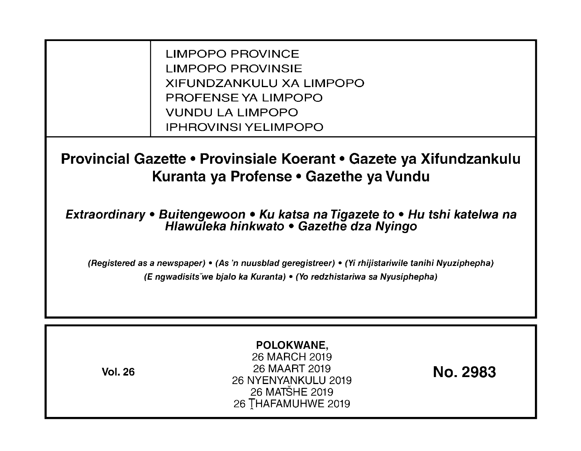LIMPOPO PROVINCE LIMPOPO PROVINSIE XIFUNDZANKULU XA LIMPOPO PROFENSE YA LIMPOPO VUNDU LA LIMPOPO IPHROVINSI YELIMPOPO

**Provincial Gazette • Provinsiale Koerant • Gazete ya Xifundzankulu Kuranta ya Profense· Gazethe ya Vundu** 

**Extraordinary • Buitengewoon • Ku katsa na Tigazete to • Hu tshi katelwa na Hlawuleka hinkwato • Gazethe dza Nyingo** 

(Registered as a newspaper) • (As 'n nuusb/ad geregistreer) • (Yi rhijistariwile tanihi Nyuziphepha) (E ngwadisits-we bja/o ka Kuranta) • (Yo redzhistariwa sa Nyusiphepha)

| POLOKWANE,<br>26 MARCH 2019<br>26 MAART 2019<br><b>Vol. 26</b><br>26 NYENYANKULU 2019<br>26 MATŠHE 2019<br>26 THAFAMUHWE 2019 | <b>No. 2983</b> |
|-------------------------------------------------------------------------------------------------------------------------------|-----------------|
|-------------------------------------------------------------------------------------------------------------------------------|-----------------|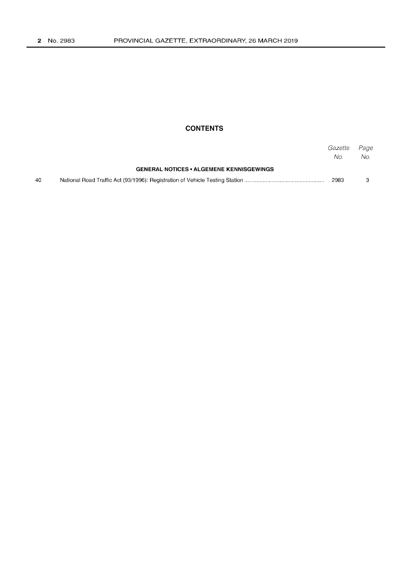## **CONTENTS**

|    |                                                 | Gazette<br>No. | Page<br>No. |
|----|-------------------------------------------------|----------------|-------------|
|    | <b>GENERAL NOTICES • ALGEMENE KENNISGEWINGS</b> |                |             |
| 40 |                                                 | 2983           |             |